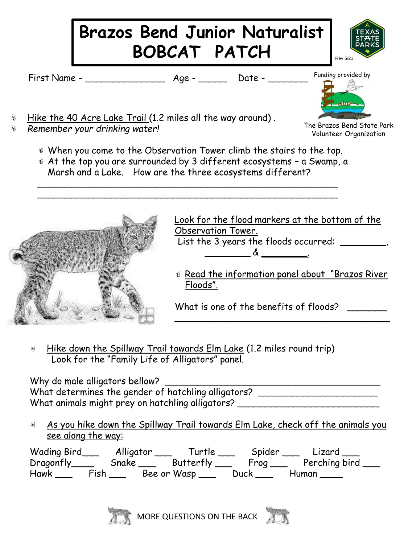

t. Hike down the Spillway Trail towards Elm Lake (1.2 miles round trip) Look for the "Family Life of Alligators" panel.

Why do male alligators bellow? \_\_\_\_\_\_\_\_\_\_\_\_\_\_\_\_\_\_\_\_\_\_\_\_\_\_\_\_\_\_\_\_\_\_\_\_\_\_ What determines the gender of hatchling alligators? \_\_\_\_\_\_\_\_\_\_\_\_\_\_\_\_\_\_\_\_\_\_\_\_\_\_\_\_ What animals might prey on hatchling alligators? \_\_\_\_\_\_\_\_\_\_\_\_\_\_\_\_\_\_\_\_\_\_\_\_\_\_\_\_\_\_\_

As you hike down the Spillway Trail towards Elm Lake, check off the animals you  $\mathfrak{P}^{\mathbb{C}}_p$ see along the way:

Wading Bird\_\_\_\_\_\_\_\_ Alligator \_\_\_\_\_\_\_\_ Turtle \_\_\_\_\_\_\_\_ Spider \_\_\_\_\_\_\_ Lizard \_\_\_\_ Dragonfly\_\_\_\_ Snake \_\_\_ Butterfly \_\_\_ Frog \_\_\_ Perching bird \_\_\_ Hawk \_\_\_ Fish \_\_\_ Bee or Wasp \_\_\_ Duck \_\_\_ Human \_\_\_\_